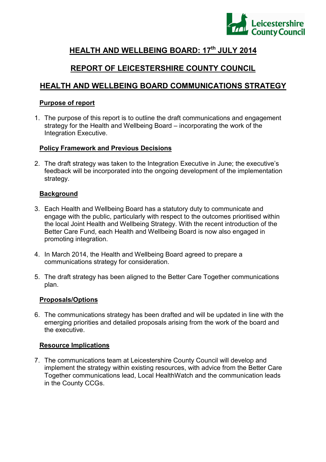

# **HEALTH AND WELLBEING BOARD: 17th JULY 2014**

# **REPORT OF LEICESTERSHIRE COUNTY COUNCIL**

# **HEALTH AND WELLBEING BOARD COMMUNICATIONS STRATEGY**

#### **Purpose of report**

1. The purpose of this report is to outline the draft communications and engagement strategy for the Health and Wellbeing Board – incorporating the work of the Integration Executive.

#### **Policy Framework and Previous Decisions**

2. The draft strategy was taken to the Integration Executive in June; the executive's feedback will be incorporated into the ongoing development of the implementation strategy.

#### **Background**

- 3. Each Health and Wellbeing Board has a statutory duty to communicate and engage with the public, particularly with respect to the outcomes prioritised within the local Joint Health and Wellbeing Strategy. With the recent introduction of the Better Care Fund, each Health and Wellbeing Board is now also engaged in promoting integration.
- 4. In March 2014, the Health and Wellbeing Board agreed to prepare a communications strategy for consideration.
- 5. The draft strategy has been aligned to the Better Care Together communications plan.

### **Proposals/Options**

6. The communications strategy has been drafted and will be updated in line with the emerging priorities and detailed proposals arising from the work of the board and the executive.

#### **Resource Implications**

7. The communications team at Leicestershire County Council will develop and implement the strategy within existing resources, with advice from the Better Care Together communications lead, Local HealthWatch and the communication leads in the County CCGs.